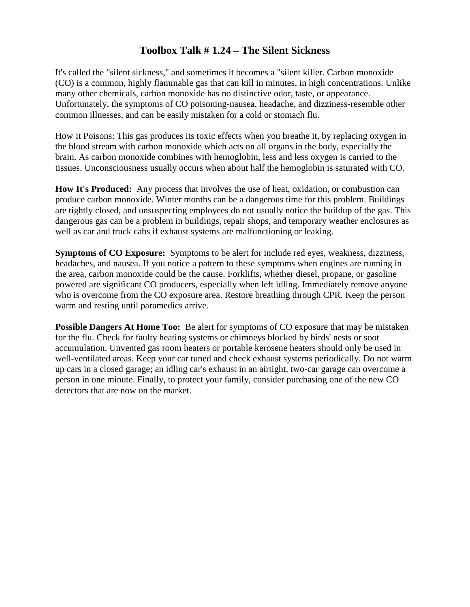## **Toolbox Talk # 1.24 – The Silent Sickness**

It's called the "silent sickness," and sometimes it becomes a "silent killer. Carbon monoxide (CO) is a common, highly flammable gas that can kill in minutes, in high concentrations. Unlike many other chemicals, carbon monoxide has no distinctive odor, taste, or appearance. Unfortunately, the symptoms of CO poisoning-nausea, headache, and dizziness-resemble other common illnesses, and can be easily mistaken for a cold or stomach flu.

How It Poisons: This gas produces its toxic effects when you breathe it, by replacing oxygen in the blood stream with carbon monoxide which acts on all organs in the body, especially the brain. As carbon monoxide combines with hemoglobin, less and less oxygen is carried to the tissues. Unconsciousness usually occurs when about half the hemoglobin is saturated with CO.

**How It's Produced:** Any process that involves the use of heat, oxidation, or combustion can produce carbon monoxide. Winter months can be a dangerous time for this problem. Buildings are tightly closed, and unsuspecting employees do not usually notice the buildup of the gas. This dangerous gas can be a problem in buildings, repair shops, and temporary weather enclosures as well as car and truck cabs if exhaust systems are malfunctioning or leaking.

**Symptoms of CO Exposure:** Symptoms to be alert for include red eyes, weakness, dizziness, headaches, and nausea. If you notice a pattern to these symptoms when engines are running in the area, carbon monoxide could be the cause. Forklifts, whether diesel, propane, or gasoline powered are significant CO producers, especially when left idling. Immediately remove anyone who is overcome from the CO exposure area. Restore breathing through CPR. Keep the person warm and resting until paramedics arrive.

**Possible Dangers At Home Too:** Be alert for symptoms of CO exposure that may be mistaken for the flu. Check for faulty heating systems or chimneys blocked by birds' nests or soot accumulation. Unvented gas room heaters or portable kerosene heaters should only be used in well-ventilated areas. Keep your car tuned and check exhaust systems periodically. Do not warm up cars in a closed garage; an idling car's exhaust in an airtight, two-car garage can overcome a person in one minute. Finally, to protect your family, consider purchasing one of the new CO detectors that are now on the market.